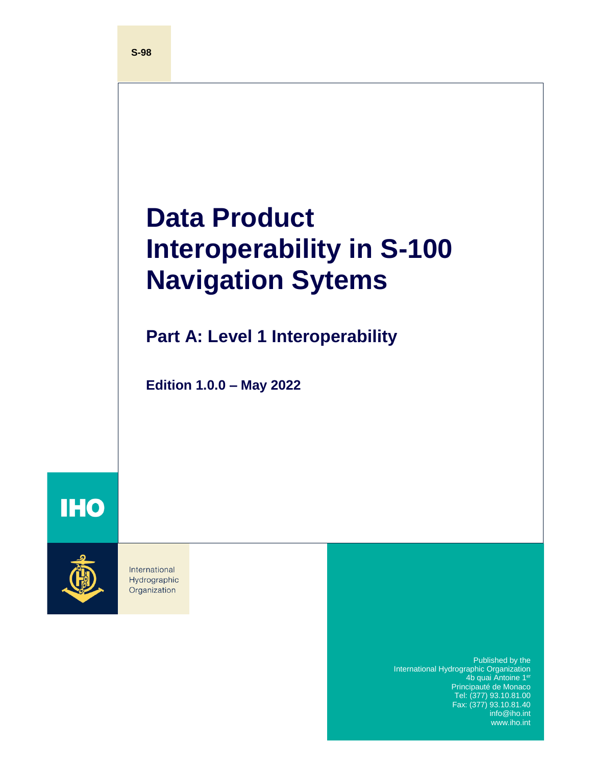

**Part A: Level 1 Interoperability**

**Edition 1.0.0 – May 2022**





International Hydrographic Organization

> Published by the International Hydrographic Organization 4b quai Antoine 1er Principauté de Monaco Tel: (377) 93.10.81.00 Fax: (377) 93.10.81.40 info@iho.int www.iho.int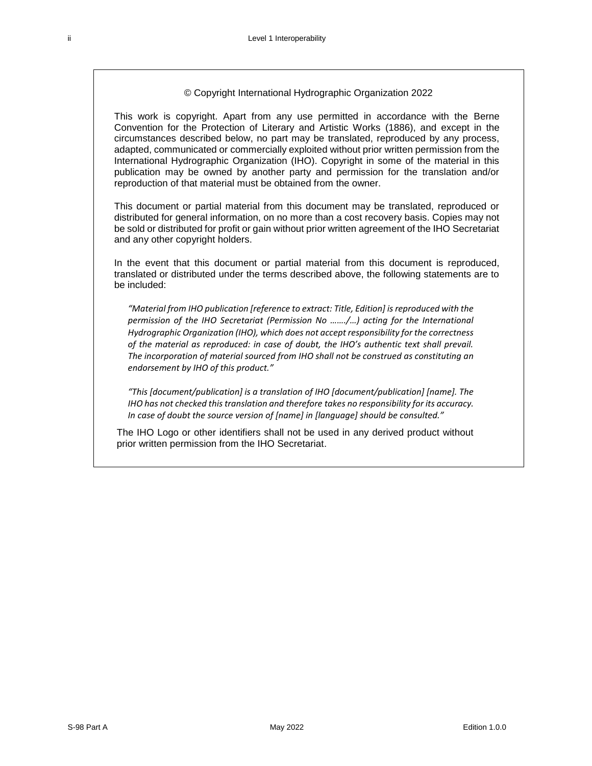#### © Copyright International Hydrographic Organization 2022

This work is copyright. Apart from any use permitted in accordance with the [Berne](http://www.wipo.int/treaties/en/ip/berne/trtdocs_wo001.html)  [Convention for the Protection of Literary and Artistic Works](http://www.wipo.int/treaties/en/ip/berne/trtdocs_wo001.html) (1886), and except in the circumstances described below, no part may be translated, reproduced by any process, adapted, communicated or commercially exploited without prior written permission from the International Hydrographic Organization (IHO). Copyright in some of the material in this publication may be owned by another party and permission for the translation and/or reproduction of that material must be obtained from the owner.

This document or partial material from this document may be translated, reproduced or distributed for general information, on no more than a cost recovery basis. Copies may not be sold or distributed for profit or gain without prior written agreement of the IHO Secretariat and any other copyright holders.

In the event that this document or partial material from this document is reproduced, translated or distributed under the terms described above, the following statements are to be included:

*"Material from IHO publication [reference to extract: Title, Edition] is reproduced with the permission of the IHO Secretariat (Permission No ……./…) acting for the International Hydrographic Organization (IHO), which does not accept responsibility for the correctness of the material as reproduced: in case of doubt, the IHO's authentic text shall prevail. The incorporation of material sourced from IHO shall not be construed as constituting an endorsement by IHO of this product."* 

*"This [document/publication] is a translation of IHO [document/publication] [name]. The IHO has not checked this translation and therefore takes no responsibility for its accuracy. In case of doubt the source version of [name] in [language] should be consulted."*

The IHO Logo or other identifiers shall not be used in any derived product without prior written permission from the IHO Secretariat.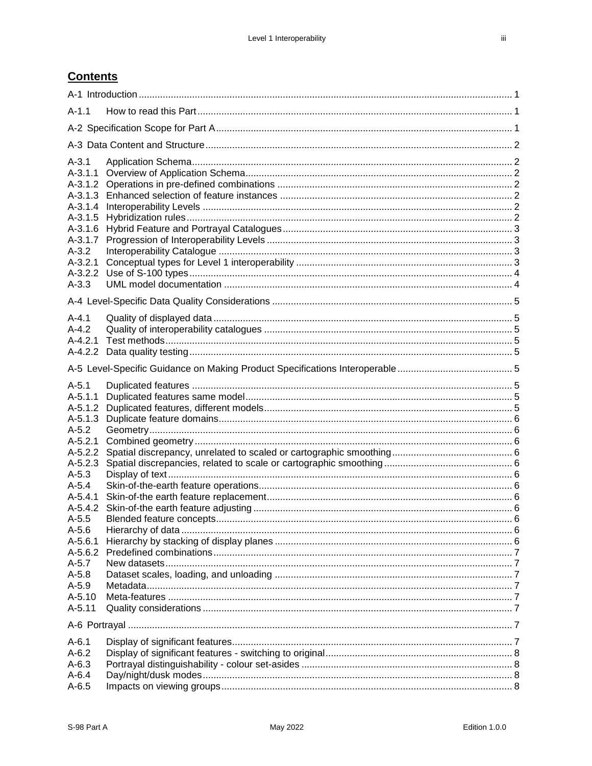# **Contents**

| $A - 1.1$                                                                                                                                                  |  |  |  |  |
|------------------------------------------------------------------------------------------------------------------------------------------------------------|--|--|--|--|
|                                                                                                                                                            |  |  |  |  |
|                                                                                                                                                            |  |  |  |  |
| $A - 3.1$<br>$A - 3.1.1$<br>$A-3.1.2$<br>$A - 3.1.3$<br>$A-3.1.4$<br>$A-3.1.5$<br>$A-3.1.6$<br>$A-3.1.7$<br>$A-3.2$<br>$A-3.2.1$<br>$A-3.2.2$<br>$A - 3.3$ |  |  |  |  |
|                                                                                                                                                            |  |  |  |  |
| $A - 4.1$<br>$A - 4.2$<br>$A-4.2.1$                                                                                                                        |  |  |  |  |
|                                                                                                                                                            |  |  |  |  |
| $A-5.1$<br>$A-5.1.1$<br>$A-5.1.2$<br>A-5.1.3<br>$A-5.2$                                                                                                    |  |  |  |  |
| $A-5.2.1$<br>$A-5.2.2$<br>$A-5.2.3$<br>$A-5.3$                                                                                                             |  |  |  |  |
| A-5.4<br>$A-5.4.1$<br>$A-5.4.2$<br>$A-5.5$                                                                                                                 |  |  |  |  |
| $A-5.6$<br>$A-5.6.1$<br>$A-5.6.2$<br>$A-5.7$                                                                                                               |  |  |  |  |
| $A-5.8$<br>$A-5.9$<br>$A - 5.10$<br>$A-5.11$                                                                                                               |  |  |  |  |
|                                                                                                                                                            |  |  |  |  |
| $A - 6.1$<br>$A - 6.2$<br>$A - 6.3$<br>$A - 6.4$<br>$A-6.5$                                                                                                |  |  |  |  |
|                                                                                                                                                            |  |  |  |  |

iii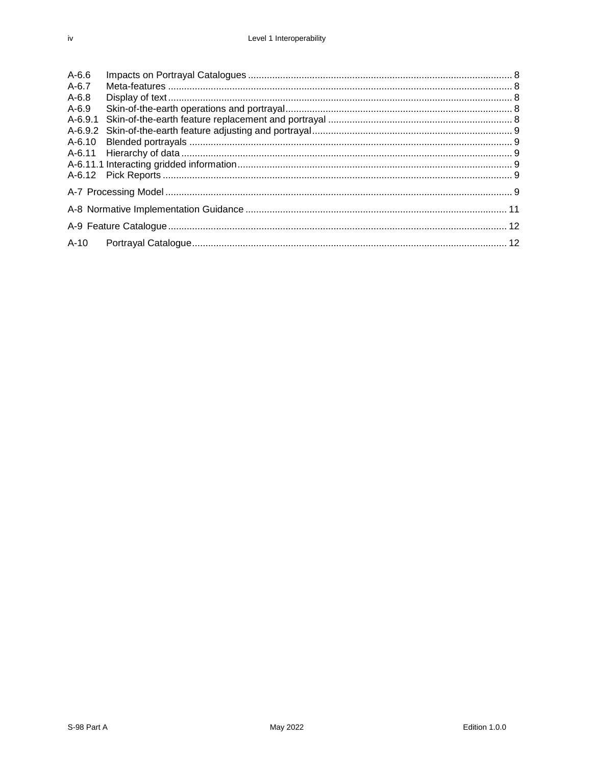| $A-6.6$   |  |  |
|-----------|--|--|
| $A - 6.7$ |  |  |
| $A - 6.8$ |  |  |
| $A - 6.9$ |  |  |
| A-6.9.1   |  |  |
| A-6.9.2   |  |  |
|           |  |  |
|           |  |  |
|           |  |  |
|           |  |  |
|           |  |  |
|           |  |  |
|           |  |  |
|           |  |  |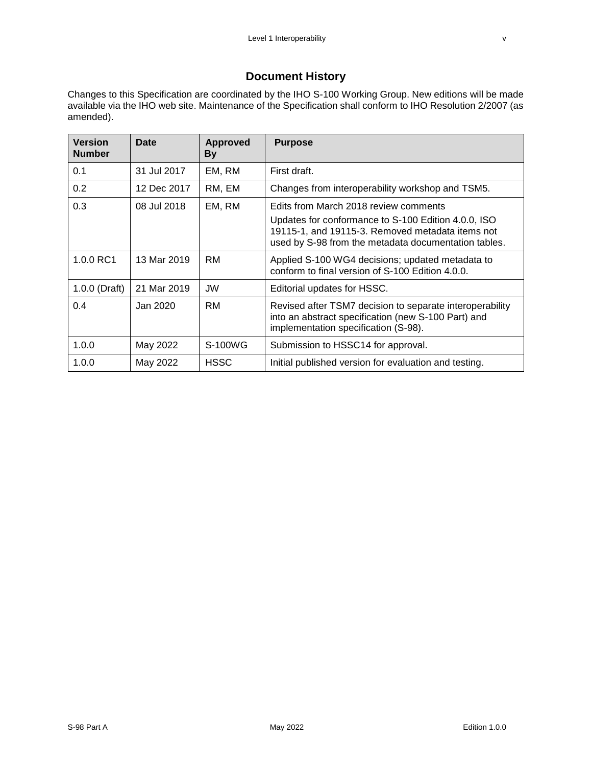# **Document History**

Changes to this Specification are coordinated by the IHO S-100 Working Group. New editions will be made available via the IHO web site. Maintenance of the Specification shall conform to IHO Resolution 2/2007 (as amended).

| <b>Version</b><br><b>Number</b> | Date                     | <b>Approved</b><br><b>By</b> | <b>Purpose</b>                                                                                                                                                  |
|---------------------------------|--------------------------|------------------------------|-----------------------------------------------------------------------------------------------------------------------------------------------------------------|
| 0.1                             | 31 Jul 2017              | EM, RM                       | First draft.                                                                                                                                                    |
| 0.2                             | 12 Dec 2017              | RM, EM                       | Changes from interoperability workshop and TSM5.                                                                                                                |
| 0.3                             | 08 Jul 2018              | EM, RM                       | Edits from March 2018 review comments                                                                                                                           |
|                                 |                          |                              | Updates for conformance to S-100 Edition 4.0.0, ISO<br>19115-1, and 19115-3. Removed metadata items not<br>used by S-98 from the metadata documentation tables. |
| 1.0.0 RC1                       | 13 Mar 2019<br><b>RM</b> |                              | Applied S-100 WG4 decisions; updated metadata to<br>conform to final version of S-100 Edition 4.0.0.                                                            |
| 1.0.0 (Draft)                   | 21 Mar 2019              | <b>JW</b>                    | Editorial updates for HSSC.                                                                                                                                     |
| 0.4                             | Jan 2020                 | RM                           | Revised after TSM7 decision to separate interoperability<br>into an abstract specification (new S-100 Part) and<br>implementation specification (S-98).         |
| 1.0.0                           | May 2022                 | S-100WG                      | Submission to HSSC14 for approval.                                                                                                                              |
| 1.0.0                           | May 2022                 | <b>HSSC</b>                  | Initial published version for evaluation and testing.                                                                                                           |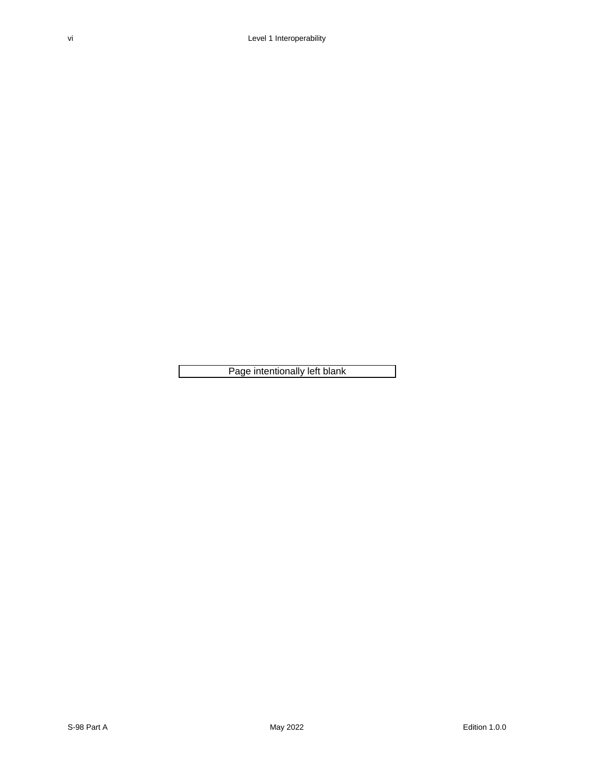Page intentionally left blank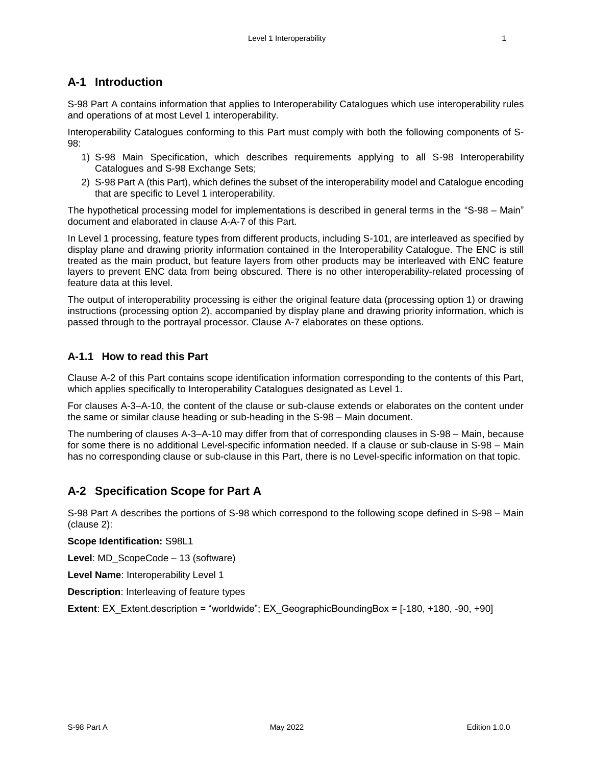## <span id="page-6-0"></span>**A-1 Introduction**

S-98 Part A contains information that applies to Interoperability Catalogues which use interoperability rules and operations of at most Level 1 interoperability.

Interoperability Catalogues conforming to this Part must comply with both the following components of S- $98$ 

- 1) S-98 Main Specification, which describes requirements applying to all S-98 Interoperability Catalogues and S-98 Exchange Sets;
- 2) S-98 Part A (this Part), which defines the subset of the interoperability model and Catalogue encoding that are specific to Level 1 interoperability.

The hypothetical processing model for implementations is described in general terms in the "S-98 – Main" document and elaborated in clause A[-A-7](#page-14-5) of this Part.

In Level 1 processing, feature types from different products, including S-101, are interleaved as specified by display plane and drawing priority information contained in the Interoperability Catalogue. The ENC is still treated as the main product, but feature layers from other products may be interleaved with ENC feature layers to prevent ENC data from being obscured. There is no other interoperability-related processing of feature data at this level.

The output of interoperability processing is either the original feature data (processing option 1) or drawing instructions (processing option 2), accompanied by display plane and drawing priority information, which is passed through to the portrayal processor. Clause A-7 elaborates on these options.

## <span id="page-6-1"></span>**A-1.1 How to read this Part**

Clause A-2 of this Part contains scope identification information corresponding to the contents of this Part, which applies specifically to Interoperability Catalogues designated as Level 1.

For clauses A-3–A-10, the content of the clause or sub-clause extends or elaborates on the content under the same or similar clause heading or sub-heading in the S-98 – Main document.

The numbering of clauses A-3–A-10 may differ from that of corresponding clauses in S-98 – Main, because for some there is no additional Level-specific information needed. If a clause or sub-clause in S-98 – Main has no corresponding clause or sub-clause in this Part, there is no Level-specific information on that topic.

## <span id="page-6-2"></span>**A-2 Specification Scope for Part A**

S-98 Part A describes the portions of S-98 which correspond to the following scope defined in S-98 – Main (clause 2):

**Scope Identification:** S98L1

**Level**: MD\_ScopeCode – 13 (software)

**Level Name**: Interoperability Level 1

**Description**: Interleaving of feature types

**Extent**: EX\_Extent.description = "worldwide"; EX\_GeographicBoundingBox = [-180, +180, -90, +90]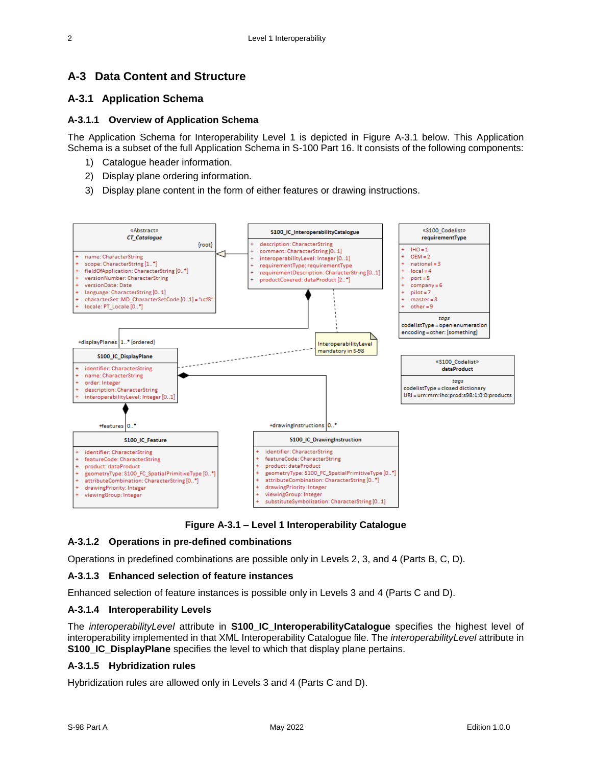## <span id="page-7-0"></span>**A-3 Data Content and Structure**

## <span id="page-7-1"></span>**A-3.1 Application Schema**

#### <span id="page-7-2"></span>**A-3.1.1 Overview of Application Schema**

The Application Schema for Interoperability Level 1 is depicted in Figure A-3.1 below. This Application Schema is a subset of the full Application Schema in S-100 Part 16. It consists of the following components:

- 1) Catalogue header information.
- 2) Display plane ordering information.
- 3) Display plane content in the form of either features or drawing instructions.



**Figure A-3.1 – Level 1 Interoperability Catalogue**

## <span id="page-7-3"></span>**A-3.1.2 Operations in pre-defined combinations**

Operations in predefined combinations are possible only in Levels 2, 3, and 4 (Parts B, C, D).

#### <span id="page-7-4"></span>**A-3.1.3 Enhanced selection of feature instances**

Enhanced selection of feature instances is possible only in Levels 3 and 4 (Parts C and D).

#### <span id="page-7-5"></span>**A-3.1.4 Interoperability Levels**

The *interoperabilityLevel* attribute in **S100\_IC\_InteroperabilityCatalogue** specifies the highest level of interoperability implemented in that XML Interoperability Catalogue file. The *interoperabilityLevel* attribute in **S100\_IC\_DisplayPlane** specifies the level to which that display plane pertains.

#### <span id="page-7-6"></span>**A-3.1.5 Hybridization rules**

Hybridization rules are allowed only in Levels 3 and 4 (Parts C and D).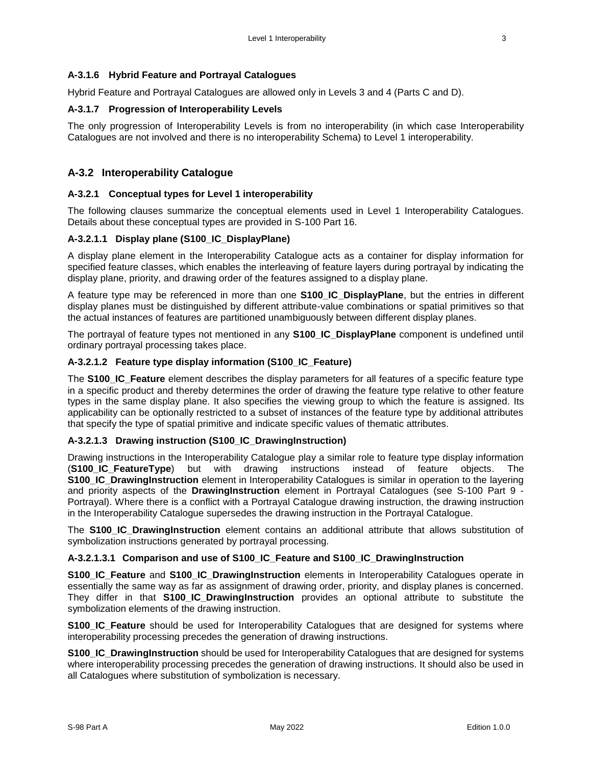### <span id="page-8-0"></span>**A-3.1.6 Hybrid Feature and Portrayal Catalogues**

Hybrid Feature and Portrayal Catalogues are allowed only in Levels 3 and 4 (Parts C and D).

#### <span id="page-8-1"></span>**A-3.1.7 Progression of Interoperability Levels**

The only progression of Interoperability Levels is from no interoperability (in which case Interoperability Catalogues are not involved and there is no interoperability Schema) to Level 1 interoperability.

## <span id="page-8-2"></span>**A-3.2 Interoperability Catalogue**

#### <span id="page-8-3"></span>**A-3.2.1 Conceptual types for Level 1 interoperability**

The following clauses summarize the conceptual elements used in Level 1 Interoperability Catalogues. Details about these conceptual types are provided in S-100 Part 16.

#### **A-3.2.1.1 Display plane (S100\_IC\_DisplayPlane)**

A display plane element in the Interoperability Catalogue acts as a container for display information for specified feature classes, which enables the interleaving of feature layers during portrayal by indicating the display plane, priority, and drawing order of the features assigned to a display plane.

A feature type may be referenced in more than one **S100\_IC\_DisplayPlane**, but the entries in different display planes must be distinguished by different attribute-value combinations or spatial primitives so that the actual instances of features are partitioned unambiguously between different display planes.

The portrayal of feature types not mentioned in any **S100\_IC\_DisplayPlane** component is undefined until ordinary portrayal processing takes place.

#### **A-3.2.1.2 Feature type display information (S100\_IC\_Feature)**

The **S100 IC Feature** element describes the display parameters for all features of a specific feature type in a specific product and thereby determines the order of drawing the feature type relative to other feature types in the same display plane. It also specifies the viewing group to which the feature is assigned. Its applicability can be optionally restricted to a subset of instances of the feature type by additional attributes that specify the type of spatial primitive and indicate specific values of thematic attributes.

#### **A-3.2.1.3 Drawing instruction (S100\_IC\_DrawingInstruction)**

Drawing instructions in the Interoperability Catalogue play a similar role to feature type display information (**S100\_IC\_FeatureType**) but with drawing instructions instead of feature objects. The **S100 IC DrawingInstruction** element in Interoperability Catalogues is similar in operation to the layering and priority aspects of the **DrawingInstruction** element in Portrayal Catalogues (see S-100 Part 9 - Portrayal). Where there is a conflict with a Portrayal Catalogue drawing instruction, the drawing instruction in the Interoperability Catalogue supersedes the drawing instruction in the Portrayal Catalogue.

The **S100\_IC\_DrawingInstruction** element contains an additional attribute that allows substitution of symbolization instructions generated by portrayal processing.

#### **A-3.2.1.3.1 Comparison and use of S100\_IC\_Feature and S100\_IC\_DrawingInstruction**

**S100\_IC\_Feature** and **S100\_IC\_DrawingInstruction** elements in Interoperability Catalogues operate in essentially the same way as far as assignment of drawing order, priority, and display planes is concerned. They differ in that **S100\_IC\_DrawingInstruction** provides an optional attribute to substitute the symbolization elements of the drawing instruction.

**S100\_IC\_Feature** should be used for Interoperability Catalogues that are designed for systems where interoperability processing precedes the generation of drawing instructions.

**S100 IC DrawingInstruction** should be used for Interoperability Catalogues that are designed for systems where interoperability processing precedes the generation of drawing instructions. It should also be used in all Catalogues where substitution of symbolization is necessary.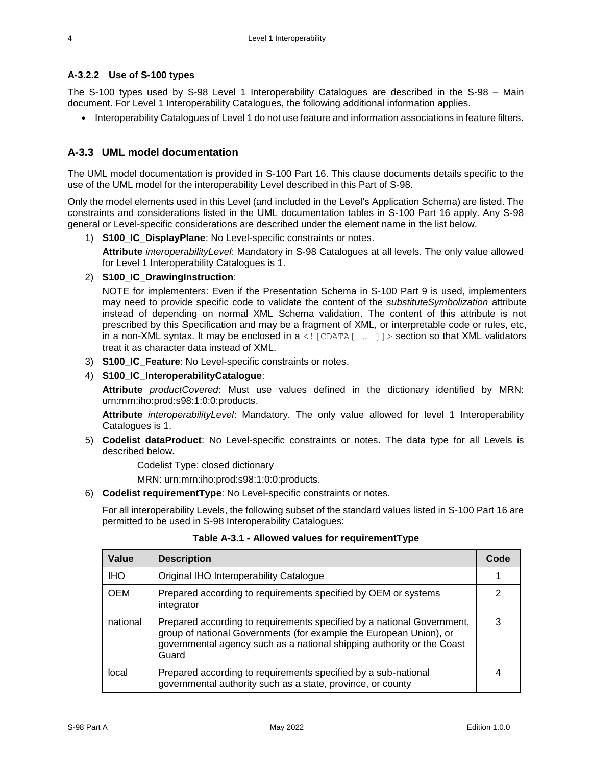#### <span id="page-9-0"></span>**A-3.2.2 Use of S-100 types**

The S-100 types used by S-98 Level 1 Interoperability Catalogues are described in the S-98 – Main document. For Level 1 Interoperability Catalogues, the following additional information applies.

• Interoperability Catalogues of Level 1 do not use feature and information associations in feature filters.

## <span id="page-9-1"></span>**A-3.3 UML model documentation**

The UML model documentation is provided in S-100 Part 16. This clause documents details specific to the use of the UML model for the interoperability Level described in this Part of S-98.

Only the model elements used in this Level (and included in the Level's Application Schema) are listed. The constraints and considerations listed in the UML documentation tables in S-100 Part 16 apply. Any S-98 general or Level-specific considerations are described under the element name in the list below.

1) **S100\_IC\_DisplayPlane**: No Level-specific constraints or notes.

**Attribute** *interoperabilityLevel*: Mandatory in S-98 Catalogues at all levels. The only value allowed for Level 1 Interoperability Catalogues is 1.

#### 2) **S100\_IC\_DrawingInstruction**:

NOTE for implementers: Even if the Presentation Schema in S-100 Part 9 is used, implementers may need to provide specific code to validate the content of the *substituteSymbolization* attribute instead of depending on normal XML Schema validation. The content of this attribute is not prescribed by this Specification and may be a fragment of XML, or interpretable code or rules, etc, in a non-XML syntax. It may be enclosed in  $a \leq |CDATA|$  ...  $| \geq$  section so that XML validators treat it as character data instead of XML.

3) **S100 IC Feature**: No Level-specific constraints or notes.

#### 4) **S100\_IC\_InteroperabilityCatalogue**:

**Attribute** *productCovered*: Must use values defined in the dictionary identified by MRN: urn:mrn:iho:prod:s98:1:0:0:products.

**Attribute** *interoperabilityLevel*: Mandatory. The only value allowed for level 1 Interoperability Catalogues is 1.

5) **Codelist dataProduct**: No Level-specific constraints or notes. The data type for all Levels is described below.

Codelist Type: closed dictionary

MRN: urn:mrn:iho:prod:s98:1:0:0:products.

6) **Codelist requirementType**: No Level-specific constraints or notes.

For all interoperability Levels, the following subset of the standard values listed in S-100 Part 16 are permitted to be used in S-98 Interoperability Catalogues:

| Value      | <b>Description</b>                                                                                                                                                                                                              | Code |
|------------|---------------------------------------------------------------------------------------------------------------------------------------------------------------------------------------------------------------------------------|------|
| <b>IHO</b> | Original IHO Interoperability Catalogue                                                                                                                                                                                         |      |
| <b>OEM</b> | Prepared according to requirements specified by OEM or systems<br>integrator                                                                                                                                                    | 2    |
| national   | Prepared according to requirements specified by a national Government,<br>group of national Governments (for example the European Union), or<br>governmental agency such as a national shipping authority or the Coast<br>Guard | 3    |
| local      | Prepared according to requirements specified by a sub-national<br>governmental authority such as a state, province, or county                                                                                                   |      |

#### **Table A-3.1 - Allowed values for requirementType**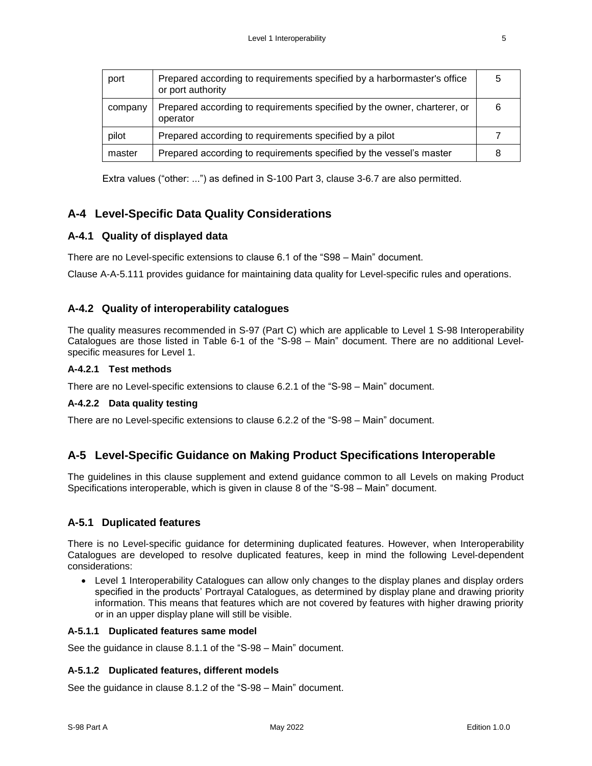| port    | Prepared according to requirements specified by a harbormaster's office<br>or port authority | 5 |
|---------|----------------------------------------------------------------------------------------------|---|
| company | Prepared according to requirements specified by the owner, charterer, or<br>operator         |   |
| pilot   | Prepared according to requirements specified by a pilot                                      |   |
| master  | Prepared according to requirements specified by the vessel's master                          |   |

Extra values ("other: ...") as defined in S-100 Part 3, clause 3-6.7 are also permitted.

## <span id="page-10-0"></span>**A-4 Level-Specific Data Quality Considerations**

## <span id="page-10-1"></span>**A-4.1 Quality of displayed data**

There are no Level-specific extensions to clause 6.1 of the "S98 – Main" document.

Clause A-A-5.111 provides guidance for maintaining data quality for Level-specific rules and operations.

## <span id="page-10-2"></span>**A-4.2 Quality of interoperability catalogues**

The quality measures recommended in S-97 (Part C) which are applicable to Level 1 S-98 Interoperability Catalogues are those listed in Table 6-1 of the "S-98 – Main" document. There are no additional Levelspecific measures for Level 1.

#### <span id="page-10-3"></span>**A-4.2.1 Test methods**

There are no Level-specific extensions to clause 6.2.1 of the "S-98 – Main" document.

#### <span id="page-10-4"></span>**A-4.2.2 Data quality testing**

There are no Level-specific extensions to clause 6.2.2 of the "S-98 – Main" document.

## <span id="page-10-5"></span>**A-5 Level-Specific Guidance on Making Product Specifications Interoperable**

The guidelines in this clause supplement and extend guidance common to all Levels on making Product Specifications interoperable, which is given in clause 8 of the "S-98 – Main" document.

## <span id="page-10-6"></span>**A-5.1 Duplicated features**

There is no Level-specific guidance for determining duplicated features. However, when Interoperability Catalogues are developed to resolve duplicated features, keep in mind the following Level-dependent considerations:

 Level 1 Interoperability Catalogues can allow only changes to the display planes and display orders specified in the products' Portrayal Catalogues, as determined by display plane and drawing priority information. This means that features which are not covered by features with higher drawing priority or in an upper display plane will still be visible.

#### <span id="page-10-7"></span>**A-5.1.1 Duplicated features same model**

See the guidance in clause 8.1.1 of the "S-98 – Main" document.

#### <span id="page-10-8"></span>**A-5.1.2 Duplicated features, different models**

See the guidance in clause 8.1.2 of the "S-98 – Main" document.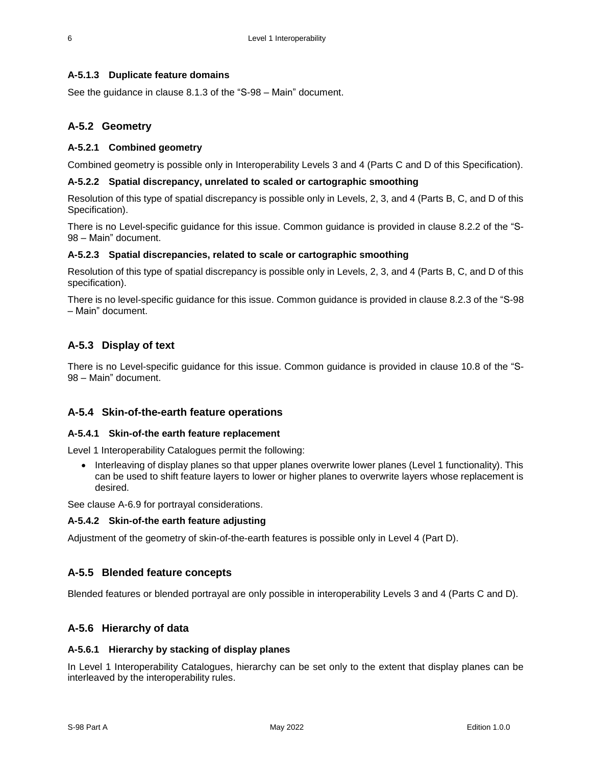#### <span id="page-11-0"></span>**A-5.1.3 Duplicate feature domains**

See the guidance in clause 8.1.3 of the "S-98 – Main" document.

## <span id="page-11-1"></span>**A-5.2 Geometry**

#### <span id="page-11-2"></span>**A-5.2.1 Combined geometry**

Combined geometry is possible only in Interoperability Levels 3 and 4 (Parts C and D of this Specification).

#### <span id="page-11-3"></span>**A-5.2.2 Spatial discrepancy, unrelated to scaled or cartographic smoothing**

Resolution of this type of spatial discrepancy is possible only in Levels, 2, 3, and 4 (Parts B, C, and D of this Specification).

There is no Level-specific guidance for this issue. Common guidance is provided in clause 8.2.2 of the "S-98 – Main" document.

#### <span id="page-11-4"></span>**A-5.2.3 Spatial discrepancies, related to scale or cartographic smoothing**

Resolution of this type of spatial discrepancy is possible only in Levels, 2, 3, and 4 (Parts B, C, and D of this specification).

There is no level-specific guidance for this issue. Common guidance is provided in clause 8.2.3 of the "S-98 – Main" document.

## <span id="page-11-5"></span>**A-5.3 Display of text**

There is no Level-specific guidance for this issue. Common guidance is provided in clause 10.8 of the "S-98 – Main" document.

#### <span id="page-11-6"></span>**A-5.4 Skin-of-the-earth feature operations**

#### <span id="page-11-7"></span>**A-5.4.1 Skin-of-the earth feature replacement**

Level 1 Interoperability Catalogues permit the following:

• Interleaving of display planes so that upper planes overwrite lower planes (Level 1 functionality). This can be used to shift feature layers to lower or higher planes to overwrite layers whose replacement is desired.

See clause A-6.9 for portrayal considerations.

#### <span id="page-11-8"></span>**A-5.4.2 Skin-of-the earth feature adjusting**

Adjustment of the geometry of skin-of-the-earth features is possible only in Level 4 (Part D).

## <span id="page-11-9"></span>**A-5.5 Blended feature concepts**

Blended features or blended portrayal are only possible in interoperability Levels 3 and 4 (Parts C and D).

## <span id="page-11-10"></span>**A-5.6 Hierarchy of data**

#### <span id="page-11-11"></span>**A-5.6.1 Hierarchy by stacking of display planes**

In Level 1 Interoperability Catalogues, hierarchy can be set only to the extent that display planes can be interleaved by the interoperability rules.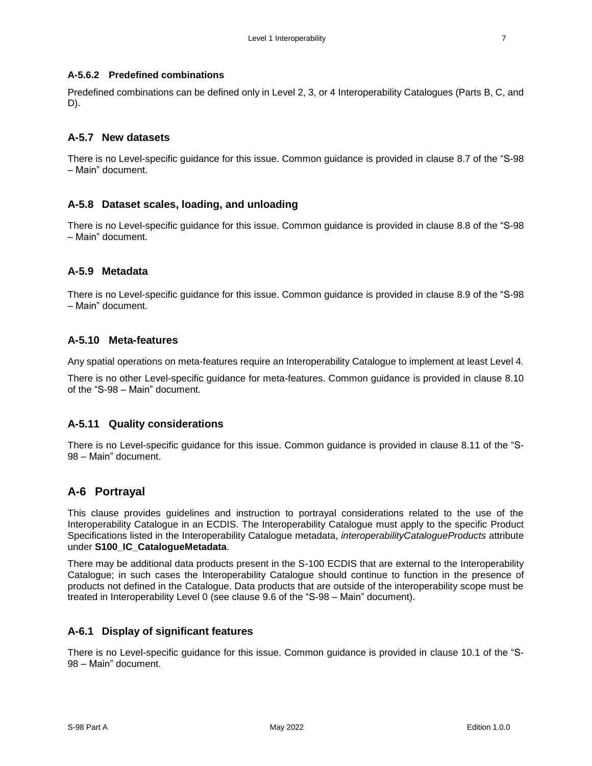#### <span id="page-12-0"></span>**A-5.6.2 Predefined combinations**

Predefined combinations can be defined only in Level 2, 3, or 4 Interoperability Catalogues (Parts B, C, and D).

## <span id="page-12-1"></span>**A-5.7 New datasets**

There is no Level-specific guidance for this issue. Common guidance is provided in clause 8.7 of the "S-98 – Main" document.

## <span id="page-12-2"></span>**A-5.8 Dataset scales, loading, and unloading**

There is no Level-specific guidance for this issue. Common guidance is provided in clause 8.8 of the "S-98 – Main" document.

## <span id="page-12-3"></span>**A-5.9 Metadata**

There is no Level-specific guidance for this issue. Common guidance is provided in clause 8.9 of the "S-98 – Main" document.

## <span id="page-12-4"></span>**A-5.10 Meta-features**

Any spatial operations on meta-features require an Interoperability Catalogue to implement at least Level 4.

There is no other Level-specific guidance for meta-features. Common guidance is provided in clause 8.10 of the "S-98 – Main" document.

## <span id="page-12-5"></span>**A-5.11 Quality considerations**

There is no Level-specific guidance for this issue. Common guidance is provided in clause 8.11 of the "S-98 – Main" document.

## <span id="page-12-6"></span>**A-6 Portrayal**

This clause provides guidelines and instruction to portrayal considerations related to the use of the Interoperability Catalogue in an ECDIS. The Interoperability Catalogue must apply to the specific Product Specifications listed in the Interoperability Catalogue metadata, *interoperabilityCatalogueProducts* attribute under **S100\_IC\_CatalogueMetadata**.

There may be additional data products present in the S-100 ECDIS that are external to the Interoperability Catalogue; in such cases the Interoperability Catalogue should continue to function in the presence of products not defined in the Catalogue. Data products that are outside of the interoperability scope must be treated in Interoperability Level 0 (see clause 9.6 of the "S-98 – Main" document).

## <span id="page-12-7"></span>**A-6.1 Display of significant features**

There is no Level-specific guidance for this issue. Common guidance is provided in clause 10.1 of the "S-98 – Main" document.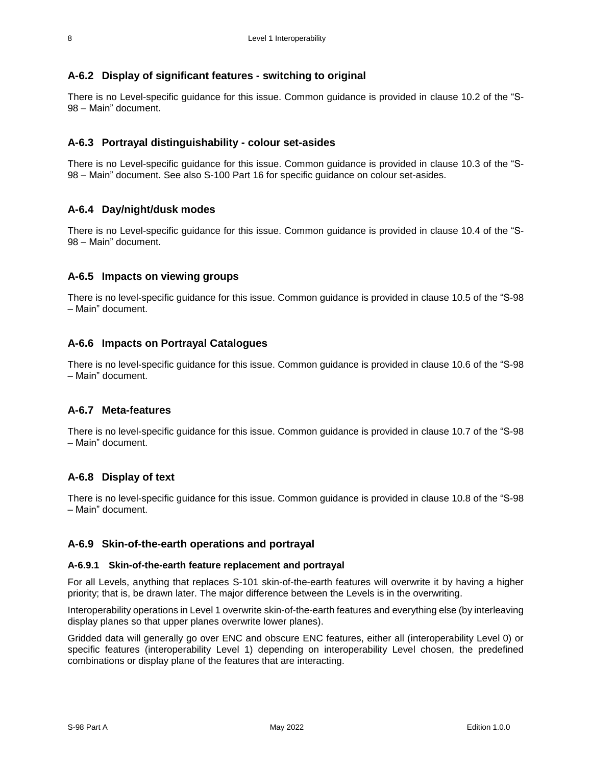## <span id="page-13-0"></span>**A-6.2 Display of significant features - switching to original**

There is no Level-specific guidance for this issue. Common guidance is provided in clause 10.2 of the "S-98 – Main" document.

## <span id="page-13-1"></span>**A-6.3 Portrayal distinguishability - colour set-asides**

There is no Level-specific guidance for this issue. Common guidance is provided in clause 10.3 of the "S-98 – Main" document. See also S-100 Part 16 for specific guidance on colour set-asides.

#### <span id="page-13-2"></span>**A-6.4 Day/night/dusk modes**

There is no Level-specific guidance for this issue. Common guidance is provided in clause 10.4 of the "S-98 – Main" document.

#### <span id="page-13-3"></span>**A-6.5 Impacts on viewing groups**

There is no level-specific guidance for this issue. Common guidance is provided in clause 10.5 of the "S-98 – Main" document.

#### <span id="page-13-4"></span>**A-6.6 Impacts on Portrayal Catalogues**

There is no level-specific guidance for this issue. Common guidance is provided in clause 10.6 of the "S-98 – Main" document.

#### <span id="page-13-5"></span>**A-6.7 Meta-features**

There is no level-specific guidance for this issue. Common guidance is provided in clause 10.7 of the "S-98 – Main" document.

#### <span id="page-13-6"></span>**A-6.8 Display of text**

There is no level-specific guidance for this issue. Common guidance is provided in clause 10.8 of the "S-98 – Main" document.

#### <span id="page-13-7"></span>**A-6.9 Skin-of-the-earth operations and portrayal**

#### <span id="page-13-8"></span>**A-6.9.1 Skin-of-the-earth feature replacement and portrayal**

For all Levels, anything that replaces S-101 skin-of-the-earth features will overwrite it by having a higher priority; that is, be drawn later. The major difference between the Levels is in the overwriting.

Interoperability operations in Level 1 overwrite skin-of-the-earth features and everything else (by interleaving display planes so that upper planes overwrite lower planes).

Gridded data will generally go over ENC and obscure ENC features, either all (interoperability Level 0) or specific features (interoperability Level 1) depending on interoperability Level chosen, the predefined combinations or display plane of the features that are interacting.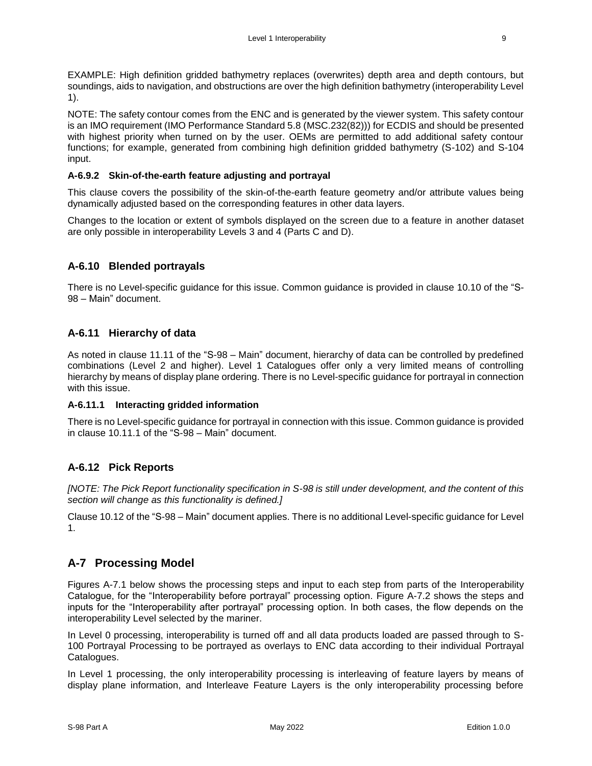EXAMPLE: High definition gridded bathymetry replaces (overwrites) depth area and depth contours, but soundings, aids to navigation, and obstructions are over the high definition bathymetry (interoperability Level 1).

NOTE: The safety contour comes from the ENC and is generated by the viewer system. This safety contour is an IMO requirement (IMO Performance Standard 5.8 (MSC.232(82))) for ECDIS and should be presented with highest priority when turned on by the user. OEMs are permitted to add additional safety contour functions; for example, generated from combining high definition gridded bathymetry (S-102) and S-104 input.

### <span id="page-14-0"></span>**A-6.9.2 Skin-of-the-earth feature adjusting and portrayal**

This clause covers the possibility of the skin-of-the-earth feature geometry and/or attribute values being dynamically adjusted based on the corresponding features in other data layers.

Changes to the location or extent of symbols displayed on the screen due to a feature in another dataset are only possible in interoperability Levels 3 and 4 (Parts C and D).

## <span id="page-14-1"></span>**A-6.10 Blended portrayals**

There is no Level-specific guidance for this issue. Common guidance is provided in clause 10.10 of the "S-98 – Main" document.

## <span id="page-14-2"></span>**A-6.11 Hierarchy of data**

As noted in clause 11.11 of the "S-98 – Main" document, hierarchy of data can be controlled by predefined combinations (Level 2 and higher). Level 1 Catalogues offer only a very limited means of controlling hierarchy by means of display plane ordering. There is no Level-specific guidance for portrayal in connection with this issue.

#### <span id="page-14-3"></span>**A-6.11.1 Interacting gridded information**

There is no Level-specific guidance for portrayal in connection with this issue. Common guidance is provided in clause 10.11.1 of the "S-98 – Main" document.

## <span id="page-14-4"></span>**A-6.12 Pick Reports**

*[NOTE: The Pick Report functionality specification in S-98 is still under development, and the content of this section will change as this functionality is defined.]*

Clause 10.12 of the "S-98 – Main" document applies. There is no additional Level-specific guidance for Level 1.

## <span id="page-14-5"></span>**A-7 Processing Model**

Figures A-7.1 below shows the processing steps and input to each step from parts of the Interoperability Catalogue, for the "Interoperability before portrayal" processing option. Figure A-7.2 shows the steps and inputs for the "Interoperability after portrayal" processing option. In both cases, the flow depends on the interoperability Level selected by the mariner.

In Level 0 processing, interoperability is turned off and all data products loaded are passed through to S-100 Portrayal Processing to be portrayed as overlays to ENC data according to their individual Portrayal Catalogues.

In Level 1 processing, the only interoperability processing is interleaving of feature layers by means of display plane information, and Interleave Feature Layers is the only interoperability processing before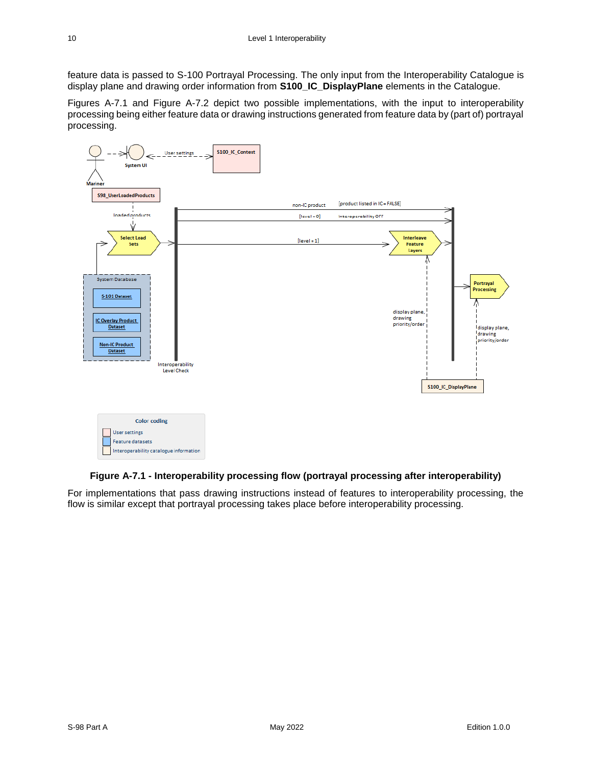feature data is passed to S-100 Portrayal Processing. The only input from the Interoperability Catalogue is display plane and drawing order information from **S100\_IC\_DisplayPlane** elements in the Catalogue.

Figures A-7.1 and Figure A-7.2 depict two possible implementations, with the input to interoperability processing being either feature data or drawing instructions generated from feature data by (part of) portrayal processing.



## **Figure A-7.1 - Interoperability processing flow (portrayal processing after interoperability)**

For implementations that pass drawing instructions instead of features to interoperability processing, the flow is similar except that portrayal processing takes place before interoperability processing.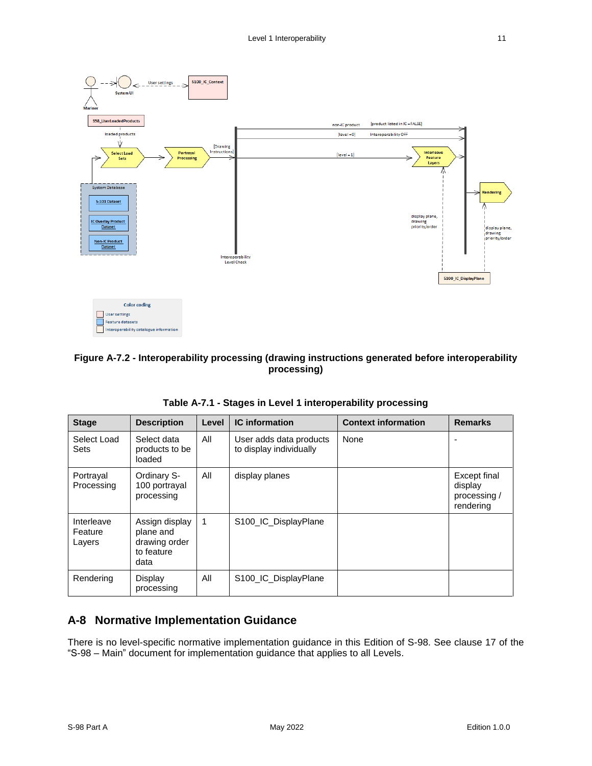

## **Figure A-7.2 - Interoperability processing (drawing instructions generated before interoperability processing)**

| <b>Stage</b><br><b>Description</b> |                                                                    | Level | <b>IC</b> information                              | <b>Context information</b> | <b>Remarks</b>                                      |
|------------------------------------|--------------------------------------------------------------------|-------|----------------------------------------------------|----------------------------|-----------------------------------------------------|
| Select Load<br>Sets                | Select data<br>products to be<br>loaded                            | All   | User adds data products<br>to display individually | None                       |                                                     |
| Portrayal<br>Processing            | Ordinary S-<br>100 portrayal<br>processing                         | All   | display planes                                     |                            | Except final<br>display<br>processing/<br>rendering |
| Interleave<br>Feature<br>Layers    | Assign display<br>plane and<br>drawing order<br>to feature<br>data | 1     | S100_IC_DisplayPlane                               |                            |                                                     |
| Rendering                          | Display<br>processing                                              | All   | S100_IC_DisplayPlane                               |                            |                                                     |

**Table A-7.1 - Stages in Level 1 interoperability processing**

# <span id="page-16-0"></span>**A-8 Normative Implementation Guidance**

There is no level-specific normative implementation guidance in this Edition of S-98. See clause 17 of the "S-98 – Main" document for implementation guidance that applies to all Levels.